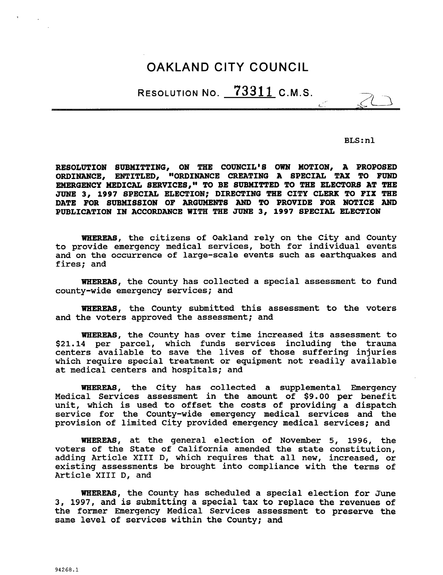# OAKLAND CITY COUNCIL

RESOLUTION NO.  $73311$  C.M.S.

BLS:nl

RESOLUTION NO. <u>(3311</u> C.M.S.<br>BLS:nl<br>RESOLUTION SUBMITTING, ON THE COUNCIL'S OWN MOTION, A PROPOSED<br>ORDINANCE, ENTITLED, "ORDINANCE CREATING A SPECIAL TAX TO FUND<br>EMERGENCY MEDICAL SERVICES," TO BE SUBMITTED TO THE ELECTOR RESOLUTION SUBMITTING, ON THE COUNCIL'S OWN MOTION, A PROPOSED ORDINANCE. ENTITLED, "ORDINANCE CREATING A SPECIAL TAX TO FUND EMERGENCY MEDICAL SERVICES," TO BE SUBMITTED TO THE ELECTORS AT THE JUNE 3, 1997 SPECIAL ELECTION; DIRECTING THE CITY CLERK TO FIX THE DATE FOR SUBMISSION OF ARGUMENTS AND TO PROVIDE FOR NOTICE AND PUBLICATION IN ACCORDANCE WITH THE JUNE 3, 1997 SPECIAL ELECTION

WHEREAS, the citizens of Oakland rely on the City and County whereas, the citizens of caking fery on the city and county<br>to provide emergency medical services, both for individual events<br>and on the occurrence of large-scale events such as earthquakes and<br>fires: and and on the occurrence of large-scale events such as earthquakes and fires; and

WHEREAS, the County has collected a special assessment to fund county-wide emergency services; and

WHEREAS, the County submitted this assessment to the voters and the voters approved the assessment; and

WHEREAS, the County has over time increased its assessment to \$21.14 per parcel, which funds services including the trauma centers available to save the lives of those suffering injuries which require special treatment or equipment not readily available at medical centers and hospitals; and

WHEREAS, the City has collected a supplemental Emergency Medical Services assessment in the amount of \$9.00 per benefit unit, which is used to offset the costs of providing a dispatch service for the County-wide emergency medical services and the provision of limited City provided emergency medical services; and

WHEREAS, at the general election of November 5, 1996, the voters of the State of California amended the state constitution adding Article XIII D, which requires that all new, increased, or existing assessments be brought into compliance with the terms of Article XIII D, and

WHEREAS, the County has scheduled a special election for June 3, 1997, and is submitting a special tax to replace the revenues of the former Emergency Medical Services assessment to preserve the same level of services within the County; and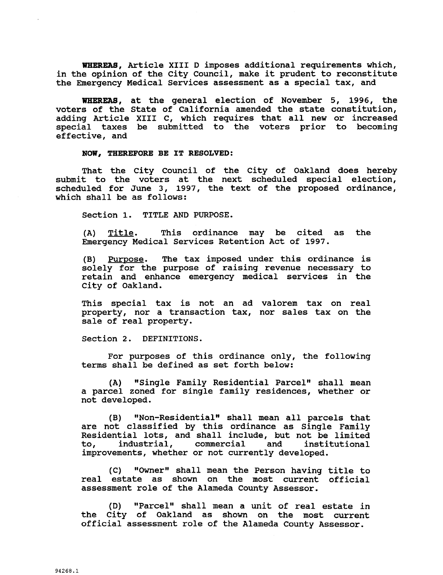WHEREAS, Article XIII D imposes additional requirements which, in the opinion of the City Council, make it prudent to reconstitute the Emergency Medical Services assessment as a special tax, and

WHEREAS, at the general election of November 5, 1996, the voters of the State of California amended the state constitution adding Article XIII C, which requires that all new or increased special taxes be submitted to the voters prior to becoming effective, and

#### NOW, THEREFORE BE IT RESOLVED:

That the City Council of the City of Oakland does hereby submit to the voters at the next scheduled special election, scheduled for June 3, 1997, the text of the proposed ordinance, which shall be as follows:

Section 1. TITLE AND PURPOSE.

 $(A)$  Title. This ordinance may be cited as the Emergency Medical Services Retention Act of 1997

(B) Purpose. The tax imposed under this ordinance is solely for the purpose of raising revenue necessary to retain and enhance emergency medical services in the City of Oakland

This special tax is not an ad valorem tax on real property, nor a transaction tax, nor sales tax on the sale of real property.

Section 2. DEFINITIONS.

For purposes of this ordinance only, the following terms shall be defined as set forth below

(A) "Single Family Residential Parcel" shall mean a parcel zoned for single family residences, whether or<br>not developed.<br>(B) "Non-Residential" shall mean all parcels that<br>are not classified by this ordinance as Single Family not developed

(B) "Non-Residential" shall mean all parcels that<br>are not classified by this ordinance as Single Family Residential lots, and shall include, but not be limited Residential lots, and shall include, but not be limited<br>to, industrial, commercial and institutional to, industrial, commercial and institutional<br>improvements, whether or not currently developed.

(C) "Owner" shall mean the Person having title to real estate as shown on the most current official assessment role of the Alameda County Assessor

(D) "Parcel" shall mean a unit of real estate in the City of Oakland as shown on the most current official assessment role of the Alameda County Assessor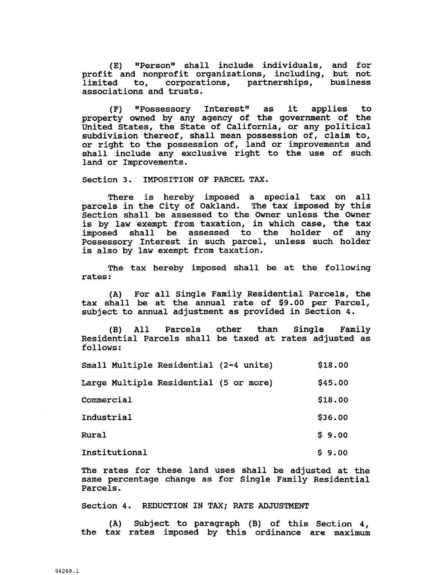(E) "Person" shall include individuals, and for profit and nonprofit organizations, including, but not<br>limited to, corporations, partnerships, business limited to, corporations, partnerships, associations and trusts

(F) "Possessory Interest" as it applies to property owned by any agency of the government of the United States, the State of California, or any political subdivision thereof, shall mean possession of, claim to, or right to the possession of, land or improvements and shall include any exclusive right to the use of such land or Improvements

Section 3. IMPOSITION OF PARCEL TAX.

There is hereby imposed <sup>a</sup> special tax on all parcels in the City of Oakland. The tax imposed by this Section shall be assessed to the Owner unless the Owner is by law exempt from taxation, in which case, the tax imposed shall be assessed to the holder of any Possessory Interest in such parcel, unless such holder is also by law exempt from taxation

The tax hereby imposed shall be at the following rates

(A) For all Single Family Residential Parcels, the tax shall be at the annual rate of \$9.00 per Parcel, subject to annual adjustment as provided in Section 4.

(B) All Parcels other than Single Family Residential Parcels shall be taxed at rates adjusted as follows

| follows:                               |         |
|----------------------------------------|---------|
| Small Multiple Residential (2-4 units) | \$18.00 |
| Large Multiple Residential (5 or more) | \$45.00 |
| Commercial                             | \$18.00 |
| Industrial                             | \$36.00 |
| <b>Rural</b>                           | \$9.00  |
| Institutional                          | \$9.00  |
|                                        |         |

The rates for these land uses shall be adjusted at the same percentage change as for Single Family Residential Parcels

Section 4. REDUCTION IN TAX; RATE ADJUSTMENT

 $(A)$  Subject to paragraph  $(B)$  of this Section 4, the tax rates imposed by this ordinance are maximum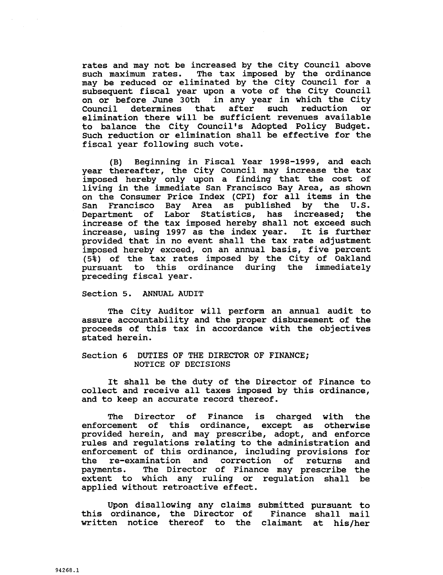rates and may not be increased by the City Council above such maximum rates. The tax imposed by the ordinance may be reduced or eliminated by the City Council for a subsequent fiscal year upon a vote of the City Council on or before June 30th in any year in which the City Council determines that after such reduction or Council determines that after such reduction or<br>elimination there will be sufficient revenues available<br>to balance the City Council's Adopted Policy Budget. rates and may not be increased by the City Council above<br>such maximum rates. The tax imposed by the ordinance<br>may be reduced or eliminated by the City Council for a<br>subsequent fiscal year upon a vote of the City Council<br>on Such reduction or elimination shall be effective for the fiscal year following such vote

(B) Beginning in Fiscal Year 1998-1999, and each year thereafter, the City Council may increase the tax imposed hereby only upon a finding that the cost of Inposed Hereby only upon a rinding ende one observed<br>
living in the immediate San Francisco Bay Area, as shown<br>
San Francisco Bay Area as published by the U.S.<br>
Repeatment of Labor Statistics, bas increased: the on the Consumer Price Index (CPI) for all items in the<br>San Francisco Bay Area as published by the U.S. Department of Labor Statistics, has increased; the increase of the tax imposed hereby shall not exceed such increase using <sup>1997</sup> as the index year It is further increase, using 1997 as the index year. It is further<br>provided that in no event shall the tax rate adjustment provided that in no event shall the tax rate adjustment<br>imposed hereby exceed, on an annual basis, five percent<br>(5%) of the tax rates imposed by the City of Oakland<br>pursuant to this ordinance during the immediately  $(5\frac{2}{3})$  of the tax rates imposed by the City of Oakland pursuant to this ordinance during the immediately preceding fiscal year

#### Section 5. ANNUAL AUDIT

The City Auditor will perform an annual audit to assure accountability and the proper disbursement of the proceeds of this tax in accordance with the objectives stated herein

#### Section 6 DUTIES OF THE DIRECTOR OF FINANCE; NOTICE OF DECISIONS

It shall be the duty of the Director of Finance to collect and receive all taxes imposed by this ordinance and to keep an accurate record thereof

The Director of Finance is charged with the<br>cement of this ordinance, except as otherwise enforcement of this ordinance, except as provided herein, and may prescribe, adopt, and enforce rules and regulations relating to the administration and enforcement of this ordinance, including provisions for<br>the re-examination and correction of returns and The Director of Finance is charged with the<br>enforcement of this ordinance, except as otherwise<br>provided herein, and may prescribe, adopt, and enforce<br>rules and regulations relating to the administration and<br>enforcement of payments. The Director of Finance may prescribe the extent to which any ruling or regulation shall be applied without retroactive effect

Upon disallowing any claims submitted pursuant to upon disallowing any claims submitted pursuant to<br>this ordinance, the Director of Finance shall mail<br>written notice thereof to the claimant at his/her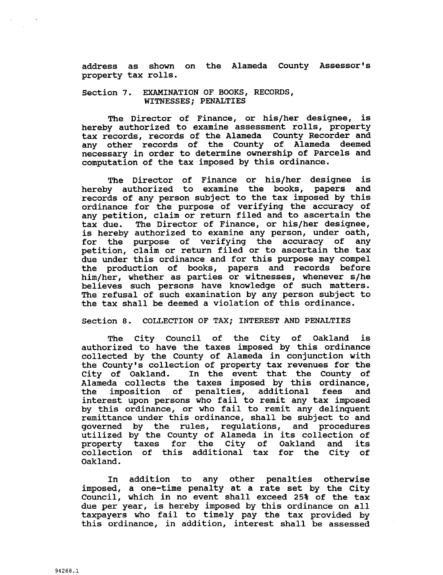address as shown<br>property\_tax\_rolls. address as shown on the Alameda County Assessor's<br>rolls.<br>"WWWWTON OF POOKS PECOPDS

# Section 7. EXAMINATION OF BOOKS, RECORDS, WITNESSES; PENALTIES

The Director of Finance, or his/her designee, is hereby authorized to examine assessment rolls, property tax records records of the Alameda County Recorder and any other records of the County of Alameda deemed necessary in order to determine ownership of Parcels and computation of the tax imposed by this ordinance

The Director of Finance or his/her designee is hereby authorized to examine the books, papers and records of any person subject to the tax imposed by this ordinance for the purpose of verifying the accuracy of ordinance for the purpose of verifying the accuracy of<br>any petition, claim or return filed and to ascertain the<br>tax due. The Director of Finance, or his/her designee,<br>is bereby authorized to examine any person, under oath. tax due. The Director of Finance, or his/her designee, is hereby authorized to examine any person, under oath, Is hereby authorized to examine any person, under oath,<br>for the purpose of verifying the accuracy of any for the purpose of verflying the accuracy of any<br>petition, claim or return filed or to ascertain the tax due under this ordinance and for this purpose may compel the production of books, papers and records before pecition, claim of feturn filed of to astertain the tax<br>due under this ordinance and for this purpose may compel<br>the production of books, papers and records before<br>him/her, whether as parties or witnesses, whenever s/he<br>be him/her, whether as parties or witnesses, whenever s/he believes such persons have knowledge of such matters. The refusal of such examination by any person subject to the tax shall be deemed <sup>a</sup> violation of this ordinance

#### Section 8. COLLECTION OF TAX; INTEREST AND PENALTIES

The City Council of the City of Oakland is authorized to have the taxes imposed by this ordinance collected by the County of Alameda in conjunction with Section 8. COLLECTION OF TAX; INTEREST AND PENALTIES<br>The City Council of the City of Oakland is<br>authorized to have the taxes imposed by this ordinance<br>collected by the County of Alameda in conjunction with<br>the County's col the County's collection of property tax revenues for the City of Oakland. In the event that the County of the imposition of penalties, additional fees and interest upon persons who fail to remit any tax imposed by this ordinance, or who fail to remit any delinquent remittance under this ordinance, shall be subject to and governed by the rules, regulations, and procedures utilized by the County of Alameda in its collection of property taxes for the City of Oakland and its collection of this additional tax for the City of Oakland

In addition to any other penalties otherwise imposed, a one-time penalty at a rate set by the City Council, which in no event shall exceed 25% of the tax due per year, is hereby imposed by this ordinance on all taxpayers who fail to timely pay the tax provided by this ordinance, in addition, interest shall be assessed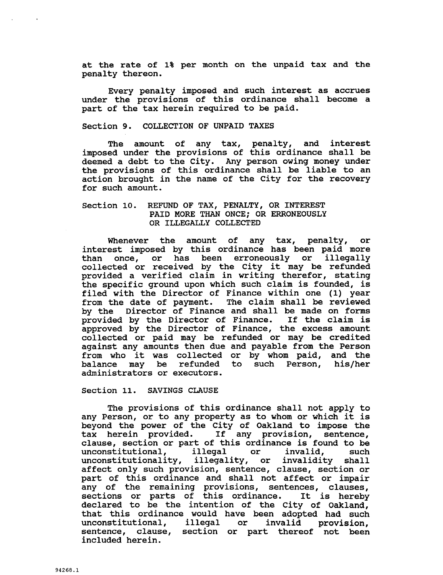at the rate of 1% per month on the unpaid tax and the penalty thereon

Every penalty imposed and such interest as accrues under the provisions of this ordinance shall become a part of the tax herein required to be paid

#### Section 9. COLLECTION OF UNPAID TAXES

The amount of any tax, penalty, and interest imposed under the provisions of this ordinance shall be deemed a debt to the City. Any person owing money under the provisions of this ordinance shall be liable to an action brought in the name of the City for the recovery for such amount

# Section 10. REFUND OF TAX, PENALTY, OR INTEREST PAID MORE THAN ONCE; OR ERRONEOUSLY OR ILLEGALLY COLLECTED

Whenever the amount of any tax, penalty, or interest imposed by this ordinance has been paid more than once, or has been erroneously or illegally collected or received by the City it may be refunded provided a verified claim in writing therefor, stating the specific ground upon which such claim is founded, is filed with the Director of Finance within one (1) year from the date of payment. The claim shall be reviewed by the Director of Finance and shall be made on forms<br>provided by the Director of Finance. If the claim is provided by the Director of Finance. If the claim is approved by the Director of Finance, the excess amount collected or paid may be refunded or may be credited against any amounts then due and payable from the Person against any amounts then due and payable from the Person<br>from who it was collected or by whom paid, and the<br>balance may be refunded to such Person, his/her<br>administrators or executors. balance may be refunded to such Person,<br>administrators or executors.

Section 11. SAVINGS CLAUSE

The provisions of this ordinance shall not apply to any Person, or to any property as to whom or which it is any Ferson, of to any property as to whom of which it is<br>beyond the power of the City of Oakland to impose the<br>tax herein provided. If any provision, sentence, tax herein provided. If any provision, sentence,<br>clause, section or part of this ordinance is found to be unconstitutional, illegal or invalid, such unconstitutionality, illegality, or invalidity shall affect only such provision, sentence, clause, section or part of this ordinance and shall not affect or impair any of the remaining provisions sentences clauses sections or parts of this ordinance It is hereby sections or parts of this ordinance. It is hereby<br>declared to be the intention of the City of Oakland, that this ordinance would have been adopted had such<br>unconstitutional, illegal or invalid provision, unconstitutional, illegal or sentence, clause, section or part thereof not been included herein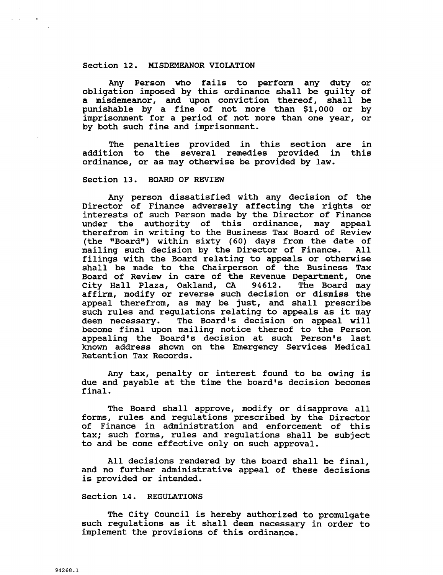#### Section 12. MISDEMEANOR VIOLATION

Any Person who fails to perform any duty or obligation imposed by this ordinance shall be guilty of a misdemeanor, and upon conviction thereof, shall be Any Person who fails to perform any duty or<br>obligation imposed by this ordinance shall be guilty of<br>a misdemeanor, and upon conviction thereof, shall be<br>punishable by a fine of not more than \$1,000 or by<br>imprisonment for a punishable by a fine of not more than \$1,000 or by imprisonment for a period of not more than one year, or by both such fine and imprisonment

The penalties provided in this section are in addition to the several remedies provided in this ordinance, or as may otherwise be provided by law.

### Section 13. BOARD OF REVIEW

Any person dissatisfied with any decision of the Director of Finance adversely affecting the rights or interests of such Person made by the Director of Finance under the authority of this ordinance, may appeal therefrom in writing to the Business Tax Board of Review (the "Board") within sixty (60) days from the date of<br>mailing such decision by the Director of Finance. All mailing such decision by the Director of Finance. filings with the Board relating to appeals or otherwise shall be made to the Chairperson of the Business Tax Board of Review in care of the Revenue Department, One<br>City Hall Plaza, Oakland, CA 94612. The Board may City Hall Plaza, Oakland, CA affirm, modify or reverse such decision or dismiss the and therefrom, as may be just, and shall prescribe<br>such rules and regulations relating to appeals as it may shall be made to the Chairperson of the Business Tax<br>Board of Review in care of the Revenue Department, One<br>City Hall Plaza, Oakland, CA 94612. The Board may<br>affirm, modify or reverse such decision or dismiss the<br>appeal th become final upon mailing notice thereof to the Person Board of Review in care of the Revenue Department, One<br>City Hall Plaza, Oakland, CA 94612. The Board may<br>affirm, modify or reverse such decision or dismiss the<br>appeal therefrom, as may be just, and shall prescribe<br>such rul known address shown on the Emergency Services Medical Retention Tax Records due and the Board's decision at such Person's last<br>appealing the Board's decision at such Person's last<br>known address shown on the Emergency Services Medical<br>Retention Tax Records.<br>Any tax, penalty or interest found to be

Any tax, penalty or interest found to be owing is due and payable at the time the board's decision becomes final

The Board shall approve, modify or disapprove all forms, rules and regulations prescribed by the Director of Finance in administration and enforcement of this tax; such forms, rules and requiations shall be subject to and be come effective only on such approval

All decisions rendered by the board shall be final, and no further administrative appeal of these decisions is provided or intended

# Section 14. REGULATIONS

The City Council is hereby authorized to promulgate such regulations as it shall deem necessary in order to implement the provisions of this ordinance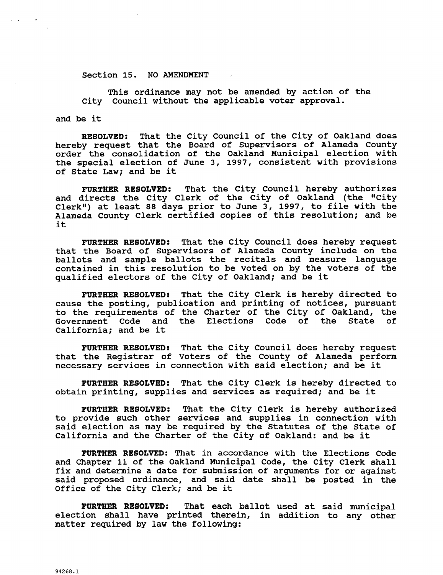#### Section 15. NO AMENDMENT

This ordinance may not be amended by action of the City Council without the applicable voter approval.

and be it

 $\alpha = \frac{1}{2}$  ,  $\alpha = \frac{1}{2}$  ,  $\alpha = \frac{1}{2}$ 

RESOLVED: That the City Council of the City of Oakland does hereby request that the Board of Supervisors of Alameda County order the consolidation of the Oakland Municipal election with the special election of June 3, 1997, consistent with provisions of State Law; and be it

FURTHER RESOLVED: That the City Council hereby authorizes and directs the City Clerk of the City of Oakland (the "City Clerk") at least 88 days prior to June  $3$ , 1997, to file with the Alameda County Clerk certified copies of this resolution; and be it

FURTHER RESOLVED: That the City Council does hereby request that the Board of Supervisors of Alameda County include on the ballots and sample ballots the recitals and measure language contained in this resolution to be voted on by the voters of the qualified electors of the City of Oakland; and be it

FURTHER RESOLVED: That the City Clerk is hereby directed to cause the posting, publication and printing of notices, pursuant to the requirements of the Charter of the City of Oakland, the<br>Government Code and the Elections Code of the State of the Elections Code of the State California; and be it

FURTHER RESOLVED: That the City Council does hereby request that the Registrar of Voters of the County of Alameda perform necessary services in connection with said election; and be it

FURTHER RESOLVED: That the City Clerk is hereby directed to obtain printing, supplies and services as required; and be it

FURTHER RESOLVED: That the City Clerk is hereby authorized to provide such other services and supplies in connection with said election as may be required by the Statutes of the State of California and the Charter of the City of Oakland: and be it

FURTHER RESOLVED: That in accordance with the Elections Code and Chapter 11 of the Oakland Municipal Code, the City Clerk shall fix and determine <sup>a</sup> date for submission of arguments for or against ITA dha decerning a date for Bubminston of digundings for of against<br>said proposed ordinance, and said date shall be posted in the<br>Office of the City Clerk; and be it

FURTHER RESOLVED: That each ballot used at said municipal election shall have printed therein, in addition to any other matter required by law the following